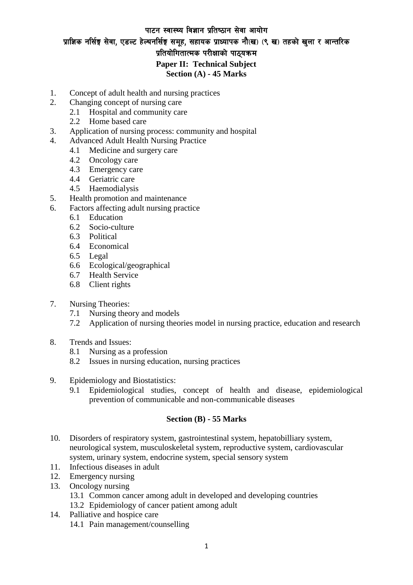## पाटन स्वास्थ्य विज्ञान प्रतिष्ठान सेवा आयोग प्राज्ञिक नर्सिङ्ग सेवा, एडल्ट हेल्थनर्सिङ्ग समूह, सहायक प्राध्यापक नौ(ख) (९ ख) तहको खुला र आन्तरिक प्रतियोगितात्मक परीक्षाको पाठयक्रम $\,$ **Paper II: Technical Subject Section (A) - 45 Marks**

- 1. Concept of adult health and nursing practices
- 2. Changing concept of nursing care
	- 2.1 Hospital and community care
	- 2.2 Home based care
- 3. Application of nursing process: community and hospital
- 4. Advanced Adult Health Nursing Practice
	- 4.1 Medicine and surgery care
	- 4.2 Oncology care
	- 4.3 Emergency care
	- 4.4 Geriatric care
	- 4.5 Haemodialysis
- 5. Health promotion and maintenance
- 6. Factors affecting adult nursing practice
	- 6.1 Education
	- 6.2 Socio-culture
	- 6.3 Political
	- 6.4 Economical
	- 6.5 Legal
	- 6.6 Ecological/geographical
	- 6.7 Health Service
	- 6.8 Client rights
- 7. Nursing Theories:
	- 7.1 Nursing theory and models
	- 7.2 Application of nursing theories model in nursing practice, education and research
- 8. Trends and Issues:
	- 8.1 Nursing as a profession
	- 8.2 Issues in nursing education, nursing practices
- 9. Epidemiology and Biostatistics:
	- 9.1 Epidemiological studies, concept of health and disease, epidemiological prevention of communicable and non-communicable diseases

## **Section (B) - 55 Marks**

- 10. Disorders of respiratory system, gastrointestinal system, hepatobilliary system, neurological system, musculoskeletal system, reproductive system, cardiovascular system, urinary system, endocrine system, special sensory system
- 11. Infectious diseases in adult
- 12. Emergency nursing
- 13. Oncology nursing
	- 13.1 Common cancer among adult in developed and developing countries
	- 13.2 Epidemiology of cancer patient among adult
- 14. Palliative and hospice care
	- 14.1 Pain management/counselling